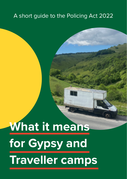# A short guide to the Policing Act 2022

# **What it means for Gypsy and Traveller camps**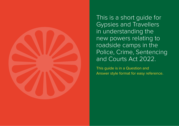

This is a short guide for Gypsies and Travellers in understanding the new powers relating to roadside camps in the Police, Crime, Sentencing and Courts Act 2022.

This guide is in a Question and Answer style format for easy reference.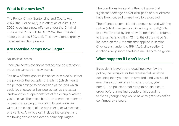#### **What is the new law?**

The Police, Crime, Sentencing and Courts Act 2022 (the 'Police Act') is in effect as of 28th June 2022, creating a new offence under the Criminal Justice and Public Order Act 1994 ('the 1994 Act') namely sections 60C to E. This new offence greatly increases eviction powers.

#### **Are roadside camps now illegal?**

No, not in all cases.

There are certain conditions that need to be met before the police can use the new powers.

The new offence applies if a notice is served by either the police or the occupier of the land (which means the person entitled to possession of the land which could be a lessee or licensee as well as the actual landowner) or a representative of the occupier asking you to leave. The notice has to be served on a person or persons residing or intending to reside on land without the consent of the occupier in or with at least one vehicle. A vehicle can include the caravan and the towing vehicle and even a barrel top wagon.

The conditions for serving the notice are that significant damage and/or disruption and/or distress have been caused or are likely to be caused.

The offence is committed if a person served with the notice (which can be given in writing or orally) fails to leave the land by the relevant deadline or returns to the same land within 12 months of the notice (an increase on the 3 months that applied in section 61 evictions, under the 1994 Act). Like section 61 evictions, very short deadlines are likely to be given.

#### **What happens if I don't leave?**

If you don't leave by the deadline given by the police, the occupier or the representative of the occupier, then you can be arrested, and you could even lose your vehicles (in other words, your home). The police do not need to obtain a court order before arresting people or impounding vehicles (though they would have to get such action confirmed by a court).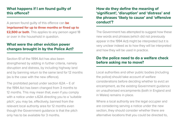## **What happens if I am found guilty of this offence?**

A person found guilty of this offence can **be imprisoned for up to three months or fined up to £2,500 or both**. This applies to any person aged 18 or over in the household in question.

### **What were the other eviction power changes brought in by the Police Act?**

Section 61 of the 1994 Act has also been strengthened by adding in further criteria, namely disruption and distress, by including highway land and by banning return to the same land for 12 months (as is the case with the new offence).

The prohibited period under section 62A – E of the 1994 Act has been changed from 3 months to 12 months. This may mean that, even if you comply with a notice under s.62A directing you to a 'suitable pitch', you may be, effectively, banned from the relevant local authority area for 12 months even though the Government guidance is that the pitch only has to be available for 3 months.

## **How do they define the meaning of 'significant', 'disruption' and 'distress' and the phrases 'likely to cause' and 'offensive conduct'?**

The Government has attempted to suggest how these new words and phrases (which did not previously appear in the 1994 Act) might be interpreted but it is very unclear indeed as to how they will be interpreted and how they will be used in practice.

## **Do the police need to do a welfare check before asking me to move?**

Local authorities and other public bodies (including the police) should take account of welfare considerations before deciding whether to evict an encampment, as the existing Government guidance on unauthorised encampments (both in England and in Wales) remains in place.

Where a local authority are the legal occupier and are considering serving a notice under the new section, they should consider whether there are alternative locations that you could be directed to,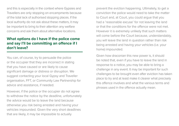and this is especially in the context where Gypsies and Travellers are only stopping on encampments because of the total lack of authorised stopping places. If the local authority do not ask about these matters, it may be important to bring to their attention any welfare concerns and ask them about alternative locations.

## **What options do I have if the police come and say I'll be committing an offence if I don't leave?**

You can, of course, try to persuade the police or the occupier that they are incorrect in stating that you have caused or are likely to cause significant damage or distress or disruption. We suggest contacting your local Gypsy and Traveller organisation, FFT, or Community Law Partnership for advice and assistance, if needed.

However, if the police or the occupier do not agree to withdraw the notice by the deadline, unfortunately the advice would be to leave the land because otherwise you risk being arrested and having your vehicles impounded. Given the very short deadlines that are likely, it may be impossible to actually

prevent the eviction happening. Ultimately, to get a conviction the police would need to take the matter to Court and, at Court, you could argue that you had a 'reasonable excuse' for not leaving the land or that the conditions for the offence were not met. However it is extremely unlikely that such matters will come before the Court because, understandably, you will leave the land in question rather than risk being arrested and having your vehicles (i.e. your home) impounded.

Given how draconian this new power is, it should be noted that, even if you have to leave the land in response to a notice, you may be able to bring a challenge in any event. It may be important for such challenges to be brought even after eviction has taken place to try and at least make it clearer what precisely this offence involves and what the various terms and phrases used in the offence actually mean.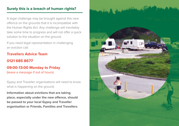# **Surely this is a breach of human rights?**

A legal challenge may be brought against this new offence on the grounds that it is incompatible with the Human Rights Act. Any challenge will inevitably take some time to progress and will not offer a quick solution to the situation on the ground.

If you need legal representation in challenging an eviction call:

**Travellers Advice Team 0121 685 8677 09:00-13:00 Monday to Friday**  (leave a message if out of hours)

Gypsy and Traveller organisations will need to know what is happening on the ground.

**Information about evictions that are taking place, especially under the new offence, should be passed to your local Gypsy and Traveller organisation or Friends, Families and Travellers**.